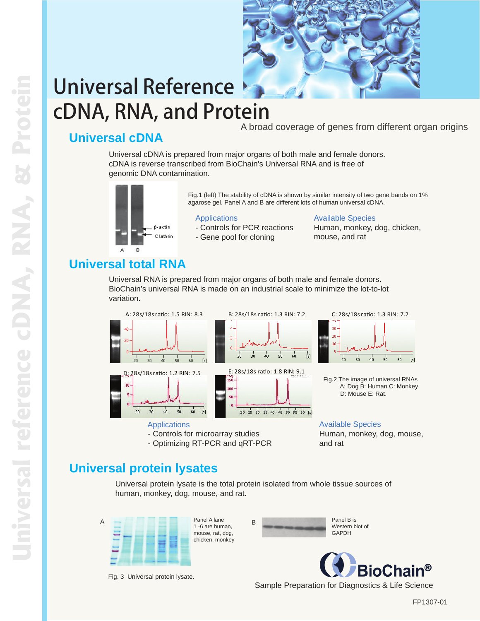

# Universal Reference cDNA, RNA, and Protein

A broad coverage of genes from different organ origins

## **Universal cDNA**

Universal cDNA is prepared from major organs of both male and female donors. cDNA is reverse transcribed from BioChain's Universal RNA and is free of

genomic DNA contamination.



Fig.1 (left) The stability of cDNA is shown by similar intensity of two gene bands on 1% agarose gel. Panel A and B are different lots of human universal cDNA.

#### **Applications**

- Controls for PCR reactions - Gene pool for cloning

Available Species Human, monkey, dog, chicken, mouse, and rat

# **Universal total RNA**

Universal RNA is prepared from major organs of both male and female donors. BioChain's universal RNA is made on an industrial scale to minimize the lot-to-lot variation.

 $50$ 

 $\frac{1}{2}$  $60$ 



### Applications

- Controls for microarray studies
- Optimizing RT-PCR and qRT-PCR



Fig.2 The image of universal RNAs A: Dog B: Human C: Monkey D: Mouse E: Rat.

Available Species Human, monkey, dog, mouse, and rat

## **Universal protein lysates**

Universal protein lysate is the total protein isolated from whole tissue sources of human, monkey, dog, mouse, and rat.



Fig. 3 Universal protein lysate.



Western blot of **GAPDH** 



Sample Preparation for Diagnostics & Life Science